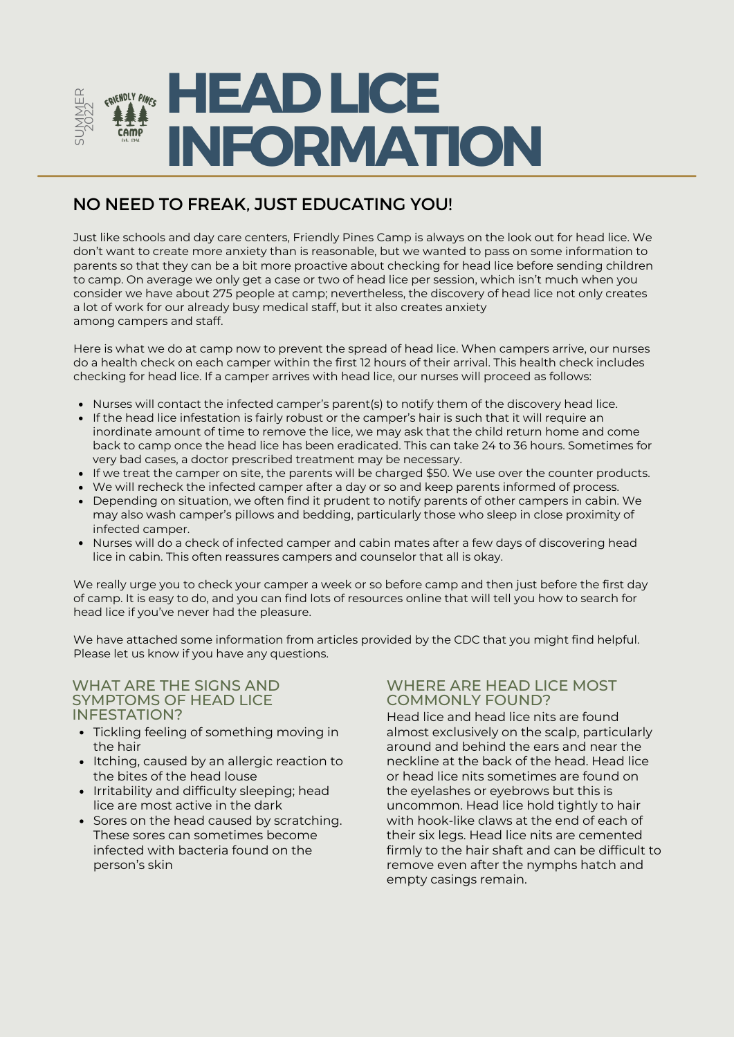

## NO NEED TO FREAK, JUST EDUCATING YOU!

Just like schools and day care centers, Friendly Pines Camp is always on the look out for head lice. We don't want to create more anxiety than is reasonable, but we wanted to pass on some information to parents so that they can be a bit more proactive about checking for head lice before sending children to camp. On average we only get a case or two of head lice per session, which isn't much when you consider we have about 275 people at camp; nevertheless, the discovery of head lice not only creates a lot of work for our already busy medical staff, but it also creates anxiety among campers and staff.

Here is what we do at camp now to prevent the spread of head lice. When campers arrive, our nurses do a health check on each camper within the first 12 hours of their arrival. This health check includes checking for head lice. If a camper arrives with head lice, our nurses will proceed as follows:

- Nurses will contact the infected camper's parent(s) to notify them of the discovery head lice.
- If the head lice infestation is fairly robust or the camper's hair is such that it will require an inordinate amount of time to remove the lice, we may ask that the child return home and come back to camp once the head lice has been eradicated. This can take 24 to 36 hours. Sometimes for very bad cases, a doctor prescribed treatment may be necessary.
- If we treat the camper on site, the parents will be charged \$50. We use over the counter products.
- We will recheck the infected camper after a day or so and keep parents informed of process.
- Depending on situation, we often find it prudent to notify parents of other campers in cabin. We may also wash camper's pillows and bedding, particularly those who sleep in close proximity of infected camper.
- Nurses will do a check of infected camper and cabin mates after a few days of discovering head lice in cabin. This often reassures campers and counselor that all is okay.

We really urge you to check your camper a week or so before camp and then just before the first day of camp. It is easy to do, and you can find lots of resources online that will tell you how to search for head lice if you've never had the pleasure.

We have attached some information from articles provided by the CDC that you might find helpful. Please let us know if you have any questions.

# WHAT ARE THE SIGNS AND SYMPTOMS OF HEAD LICE

- Tickling feeling of something moving in the hair
- Itching, caused by an allergic reaction to the bites of the head louse
- Irritability and difficulty sleeping; head lice are most active in the dark
- Sores on the head caused by scratching. These sores can sometimes become infected with bacteria found on the person's skin

#### WHERE ARE HEAD LICE MOST COMMONLY FOUND?

INFESTATION? Head lice and head lice nits are found almost exclusively on the scalp, particularly around and behind the ears and near the neckline at the back of the head. Head lice or head lice nits sometimes are found on the eyelashes or eyebrows but this is uncommon. Head lice hold tightly to hair with hook-like claws at the end of each of their six legs. Head lice nits are cemented firmly to the hair shaft and can be difficult to remove even after the nymphs hatch and empty casings remain.